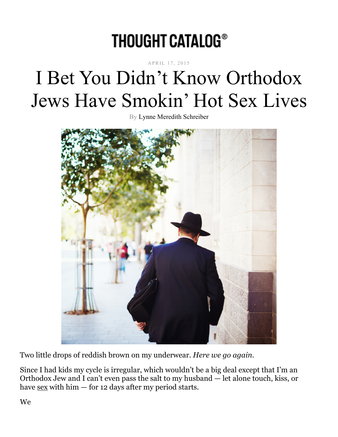# **THOUGHT CATALOG®**

#### APRIL 17, 2015

# I Bet You Didn't Know Orthodox Jews Have Smokin' Hot Sex Lives

By Lynne Meredith Schreiber



Two little drops of reddish brown on my underwear. *Here we go again.*

Since I had kids my cycle is irregular, which wouldn't be a big deal except that I'm an Orthodox Jew and I can't even pass the salt to my husband — let alone touch, kiss, or have  $s$ ex with him  $-$  for 12 days after my period starts.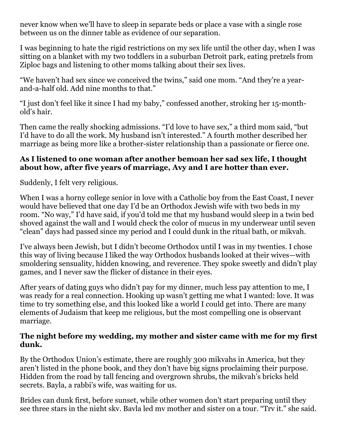never know when we'll have to sleep in separate beds or place a vase with a single rose between us on the dinner table as evidence of our separation.

I was beginning to hate the rigid restrictions on my sex life until the other day, when I was sitting on a blanket with my two toddlers in a suburban Detroit park, eating pretzels from Ziploc bags and listening to other moms talking about their sex lives.

"We haven't had sex since we conceived the twins," said one mom. "And they're a yearand-a-half old. Add nine months to that."

"I just don't feel like it since I had my baby," confessed another, stroking her 15-monthold's hair.

Then came the really shocking admissions. "I'd love to have sex," a third mom said, "but I'd have to do all the work. My husband isn't interested." A fourth mother described her marriage as being more like a brother-sister relationship than a passionate or fierce one.

#### **As I listened to one woman after another bemoan her sad sex life, I thought about how, after five years of marriage, Avy and I are hotter than ever.**

Suddenly, I felt very religious.

When I was a horny college senior in love with a Catholic boy from the East Coast, I never would have believed that one day I'd be an Orthodox Jewish wife with two beds in my room. "No way," I'd have said, if you'd told me that my husband would sleep in a twin bed shoved against the wall and I would check the color of mucus in my underwear until seven "clean" days had passed since my period and I could dunk in the ritual bath, or mikvah.

I've always been Jewish, but I didn't become Orthodox until I was in my twenties. I chose this way of living because I liked the way Orthodox husbands looked at their wives—with smoldering sensuality, hidden knowing, and reverence. They spoke sweetly and didn't play games, and I never saw the flicker of distance in their eyes.

After years of dating guys who didn't pay for my dinner, much less pay attention to me, I was ready for a real connection. Hooking up wasn't getting me what I wanted: love. It was time to try something else, and this looked like a world I could get into. There are many elements of Judaism that keep me religious, but the most compelling one is observant marriage.

#### **The night before my wedding, my mother and sister came with me for my first dunk.**

By the Orthodox Union's estimate, there are roughly 300 mikvahs in America, but they aren't listed in the phone book, and they don't have big signs proclaiming their purpose. Hidden from the road by tall fencing and overgrown shrubs, the mikvah's bricks held secrets. Bayla, a rabbi's wife, was waiting for us.

Brides can dunk first, before sunset, while other women don't start preparing until they see three stars in the night sky. Bayla led my mother and sister on a tour. "Try it," she said,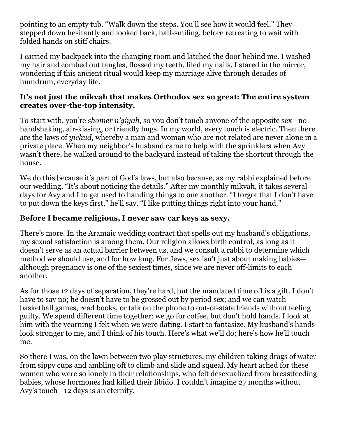pointing to an empty tub. "Walk down the steps. You'll see how it would feel." They stepped down hesitantly and looked back, half-smiling, before retreating to wait with folded hands on stiff chairs.

I carried my backpack into the changing room and latched the door behind me. I washed my hair and combed out tangles, flossed my teeth, filed my nails. I stared in the mirror, wondering if this ancient ritual would keep my marriage alive through decades of humdrum, everyday life.

#### **It's not just the mikvah that makes Orthodox sex so great: The entire system creates over-the-top intensity.**

To start with, you're *shomer n'giyah*, so you don't touch anyone of the opposite sex—no handshaking, air-kissing, or friendly hugs. In my world, every touch is electric. Then there are the laws of *yichud*, whereby a man and woman who are not related are never alone in a private place. When my neighbor's husband came to help with the sprinklers when Avy wasn't there, he walked around to the backyard instead of taking the shortcut through the house.

We do this because it's part of God's laws, but also because, as my rabbi explained before our wedding, "It's about noticing the details." After my monthly mikvah, it takes several days for Avy and I to get used to handing things to one another. "I forgot that I don't have to put down the keys first," he'll say. "I like putting things right into your hand."

### **Before I became religious, I never saw car keys as sexy.**

There's more. In the Aramaic wedding contract that spells out my husband's obligations, my sexual satisfaction is among them. Our religion allows birth control, as long as it doesn't serve as an actual barrier between us, and we consult a rabbi to determine which method we should use, and for how long. For Jews, sex isn't just about making babies although pregnancy is one of the sexiest times, since we are never off-limits to each another.

As for those 12 days of separation, they're hard, but the mandated time off is a gift. I don't have to say no; he doesn't have to be grossed out by period sex; and we can watch basketball games, read books, or talk on the phone to out-of-state friends without feeling guilty. We spend different time together: we go for coffee, but don't hold hands. I look at him with the yearning I felt when we were dating. I start to fantasize. My husband's hands look stronger to me, and I think of his touch. Here's what we'll do; here's how he'll touch me.

So there I was, on the lawn between two play structures, my children taking drags of water from sippy cups and ambling off to climb and slide and squeal. My heart ached for these women who were so lonely in their relationships, who felt desexualized from breastfeeding babies, whose hormones had killed their libido. I couldn't imagine 27 months without Avy's touch—12 days is an eternity.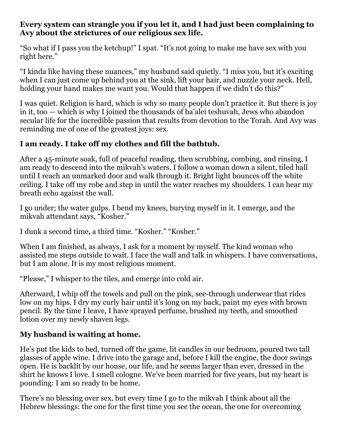#### **Every system can strangle you if you let it, and I had just been complaining to Avy about the strictures of our religious sex life.**

"So what if I pass you the ketchup!" I spat. "It's not going to make me have sex with you right here."

"I kinda like having these nuances," my husband said quietly. "I miss you, but it's exciting when I can just come up behind you at the sink, lift your hair, and nuzzle your neck. Hell, holding your hand makes me want you. Would that happen if we didn't do this?"

I was quiet. Religion is hard, which is why so many people don't practice it. But there is joy in it, too — which is why I joined the thousands of ba'alei teshuvah, Jews who abandon secular life for the incredible passion that results from devotion to the Torah. And Avy was reminding me of one of the greatest joys: sex.

## **I am ready. I take off my clothes and fill the bathtub.**

After a 45-minute soak, full of peaceful reading, then scrubbing, combing, and rinsing, I am ready to descend into the mikvah's waters. I follow a woman down a silent, tiled hall until I reach an unmarked door and walk through it. Bright light bounces off the white ceiling. I take off my robe and step in until the water reaches my shoulders. I can hear my breath echo against the wall.

I go under; the water gulps. I bend my knees, burying myself in it. I emerge, and the mikvah attendant says, "Kosher."

I dunk a second time, a third time. "Kosher." "Kosher."

When I am finished, as always, I ask for a moment by myself. The kind woman who assisted me steps outside to wait. I face the wall and talk in whispers. I have conversations, but I am alone. It is my most religious moment.

"Please," I whisper to the tiles, and emerge into cold air.

Afterward, I whip off the towels and pull on the pink, see-through underwear that rides low on my hips. I dry my curly hair until it's long on my back, paint my eyes with brown pencil. By the time I leave, I have sprayed perfume, brushed my teeth, and smoothed lotion over my newly shaven legs.

## **My husband is waiting at home.**

He's put the kids to bed, turned off the game, lit candles in our bedroom, poured two tall glasses of apple wine. I drive into the garage and, before I kill the engine, the door swings open. He is backlit by our house, our life, and he seems larger than ever, dressed in the shirt he knows I love. I smell cologne. We've been married for five years, but my heart is pounding: I am so ready to be home.

There's no blessing over sex, but every time I go to the mikvah I think about all the Hebrew blessings: the one for the first time you see the ocean, the one for overcoming